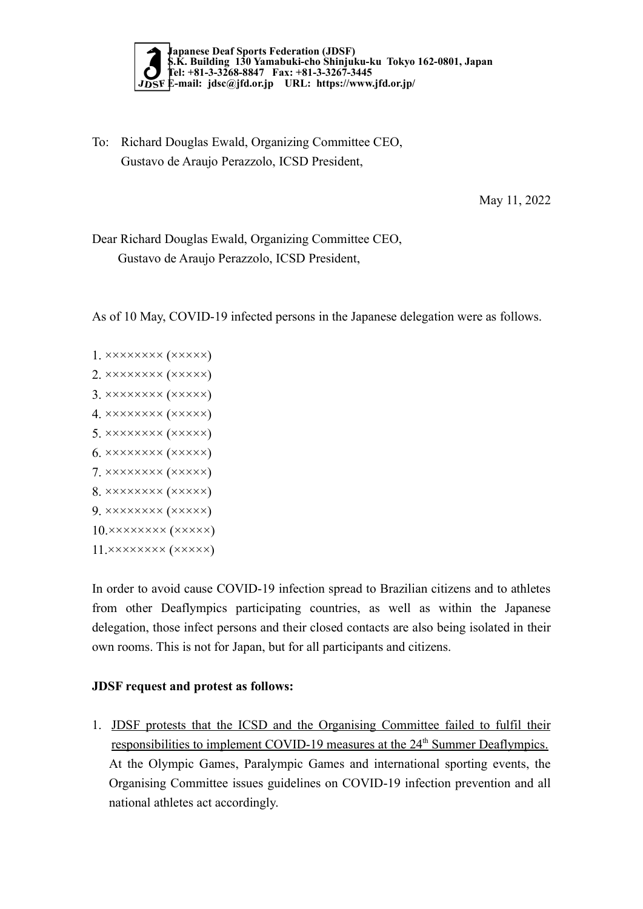

To: Richard Douglas Ewald, Organizing Committee CEO, Gustavo de Araujo Perazzolo, ICSD President,

May 11, 2022

Dear Richard Douglas Ewald, Organizing Committee CEO, Gustavo de Araujo Perazzolo, ICSD President,

As of 10 May, COVID-19 infected persons in the Japanese delegation were as follows.

1. ×××××××× (×××××) 2. ×××××××× (×××××) 3. ×××××××× (×××××) 4. ×××××××× (×××××) 5. ×××××××× (×××××) 6. ×××××××× (×××××) 7. ×××××××× (×××××) 8. ×××××××× (×××××) 9. ×××××××× (×××××) 10.×××××××× (×××××) 11.×××××××× (×××××)

In order to avoid cause COVID-19 infection spread to Brazilian citizens and to athletes from other Deaflympics participating countries, as well as within the Japanese delegation, those infect persons and their closed contacts are also being isolated in their own rooms. This is not for Japan, but for all participants and citizens.

## JDSF request and protest as follows:

1. JDSF protests that the ICSD and the Organising Committee failed to fulfil their responsibilities to implement COVID-19 measures at the 24<sup>th</sup> Summer Deaflympics. At the Olympic Games, Paralympic Games and international sporting events, the Organising Committee issues guidelines on COVID-19 infection prevention and all national athletes act accordingly.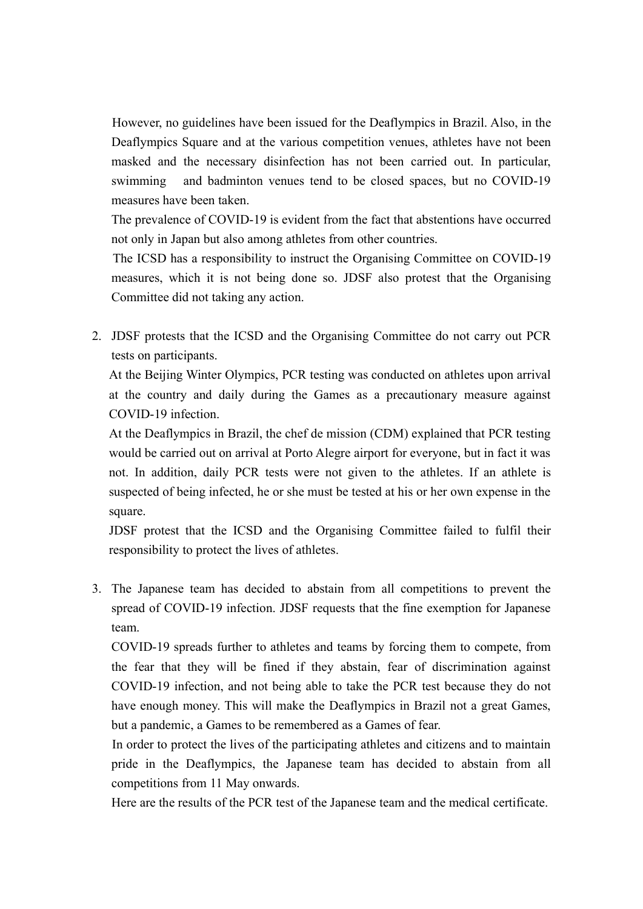However, no guidelines have been issued for the Deaflympics in Brazil. Also, in the Deaflympics Square and at the various competition venues, athletes have not been masked and the necessary disinfection has not been carried out. In particular, swimming and badminton venues tend to be closed spaces, but no COVID-19 measures have been taken.

 The prevalence of COVID-19 is evident from the fact that abstentions have occurred not only in Japan but also among athletes from other countries.

 The ICSD has a responsibility to instruct the Organising Committee on COVID-19 measures, which it is not being done so. JDSF also protest that the Organising Committee did not taking any action.

2. JDSF protests that the ICSD and the Organising Committee do not carry out PCR tests on participants.

At the Beijing Winter Olympics, PCR testing was conducted on athletes upon arrival at the country and daily during the Games as a precautionary measure against COVID-19 infection.

At the Deaflympics in Brazil, the chef de mission (CDM) explained that PCR testing would be carried out on arrival at Porto Alegre airport for everyone, but in fact it was not. In addition, daily PCR tests were not given to the athletes. If an athlete is suspected of being infected, he or she must be tested at his or her own expense in the square.

JDSF protest that the ICSD and the Organising Committee failed to fulfil their responsibility to protect the lives of athletes.

3. The Japanese team has decided to abstain from all competitions to prevent the spread of COVID-19 infection. JDSF requests that the fine exemption for Japanese team.

COVID-19 spreads further to athletes and teams by forcing them to compete, from the fear that they will be fined if they abstain, fear of discrimination against COVID-19 infection, and not being able to take the PCR test because they do not have enough money. This will make the Deaflympics in Brazil not a great Games, but a pandemic, a Games to be remembered as a Games of fear.

 In order to protect the lives of the participating athletes and citizens and to maintain pride in the Deaflympics, the Japanese team has decided to abstain from all competitions from 11 May onwards.

Here are the results of the PCR test of the Japanese team and the medical certificate.